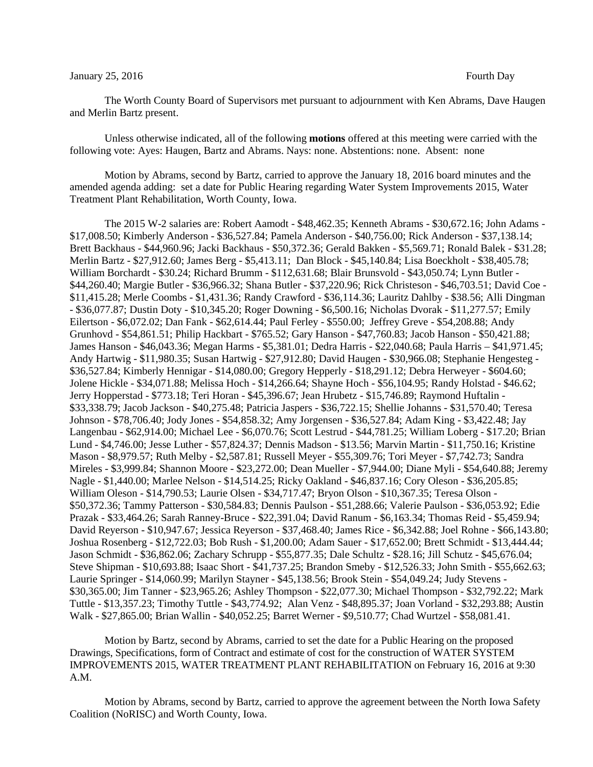## January 25, 2016 **Fourth Day**

The Worth County Board of Supervisors met pursuant to adjournment with Ken Abrams, Dave Haugen and Merlin Bartz present.

Unless otherwise indicated, all of the following **motions** offered at this meeting were carried with the following vote: Ayes: Haugen, Bartz and Abrams. Nays: none. Abstentions: none. Absent: none

Motion by Abrams, second by Bartz, carried to approve the January 18, 2016 board minutes and the amended agenda adding: set a date for Public Hearing regarding Water System Improvements 2015, Water Treatment Plant Rehabilitation, Worth County, Iowa.

The 2015 W-2 salaries are: Robert Aamodt - \$48,462.35; Kenneth Abrams - \$30,672.16; John Adams - \$17,008.50; Kimberly Anderson - \$36,527.84; Pamela Anderson - \$40,756.00; Rick Anderson - \$37,138.14; Brett Backhaus - \$44,960.96; Jacki Backhaus - \$50,372.36; Gerald Bakken - \$5,569.71; Ronald Balek - \$31.28; Merlin Bartz - \$27,912.60; James Berg - \$5,413.11; Dan Block - \$45,140.84; Lisa Boeckholt - \$38,405.78; William Borchardt - \$30.24; Richard Brumm - \$112,631.68; Blair Brunsvold - \$43,050.74; Lynn Butler - \$44,260.40; Margie Butler - \$36,966.32; Shana Butler - \$37,220.96; Rick Christeson - \$46,703.51; David Coe - \$11,415.28; Merle Coombs - \$1,431.36; Randy Crawford - \$36,114.36; Lauritz Dahlby - \$38.56; Alli Dingman - \$36,077.87; Dustin Doty - \$10,345.20; Roger Downing - \$6,500.16; Nicholas Dvorak - \$11,277.57; Emily Eilertson - \$6,072.02; Dan Fank - \$62,614.44; Paul Ferley - \$550.00; Jeffrey Greve - \$54,208.88; Andy Grunhovd - \$54,861.51; Philip Hackbart - \$765.52; Gary Hanson - \$47,760.83; Jacob Hanson - \$50,421.88; James Hanson - \$46,043.36; Megan Harms - \$5,381.01; Dedra Harris - \$22,040.68; Paula Harris – \$41,971.45; Andy Hartwig - \$11,980.35; Susan Hartwig - \$27,912.80; David Haugen - \$30,966.08; Stephanie Hengesteg - \$36,527.84; Kimberly Hennigar - \$14,080.00; Gregory Hepperly - \$18,291.12; Debra Herweyer - \$604.60; Jolene Hickle - \$34,071.88; Melissa Hoch - \$14,266.64; Shayne Hoch - \$56,104.95; Randy Holstad - \$46.62; Jerry Hopperstad - \$773.18; Teri Horan - \$45,396.67; Jean Hrubetz - \$15,746.89; Raymond Huftalin - \$33,338.79; Jacob Jackson - \$40,275.48; Patricia Jaspers - \$36,722.15; Shellie Johanns - \$31,570.40; Teresa Johnson - \$78,706.40; Jody Jones - \$54,858.32; Amy Jorgensen - \$36,527.84; Adam King - \$3,422.48; Jay Langenbau - \$62,914.00; Michael Lee - \$6,070.76; Scott Lestrud - \$44,781.25; William Loberg - \$17.20; Brian Lund - \$4,746.00; Jesse Luther - \$57,824.37; Dennis Madson - \$13.56; Marvin Martin - \$11,750.16; Kristine Mason - \$8,979.57; Ruth Melby - \$2,587.81; Russell Meyer - \$55,309.76; Tori Meyer - \$7,742.73; Sandra Mireles - \$3,999.84; Shannon Moore - \$23,272.00; Dean Mueller - \$7,944.00; Diane Myli - \$54,640.88; Jeremy Nagle - \$1,440.00; Marlee Nelson - \$14,514.25; Ricky Oakland - \$46,837.16; Cory Oleson - \$36,205.85; William Oleson - \$14,790.53; Laurie Olsen - \$34,717.47; Bryon Olson - \$10,367.35; Teresa Olson - \$50,372.36; Tammy Patterson - \$30,584.83; Dennis Paulson - \$51,288.66; Valerie Paulson - \$36,053.92; Edie Prazak - \$33,464.26; Sarah Ranney-Bruce - \$22,391.04; David Ranum - \$6,163.34; Thomas Reid - \$5,459.94; David Reyerson - \$10,947.67; Jessica Reyerson - \$37,468.40; James Rice - \$6,342.88; Joel Rohne - \$66,143.80; Joshua Rosenberg - \$12,722.03; Bob Rush - \$1,200.00; Adam Sauer - \$17,652.00; Brett Schmidt - \$13,444.44; Jason Schmidt - \$36,862.06; Zachary Schrupp - \$55,877.35; Dale Schultz - \$28.16; Jill Schutz - \$45,676.04; Steve Shipman - \$10,693.88; Isaac Short - \$41,737.25; Brandon Smeby - \$12,526.33; John Smith - \$55,662.63; Laurie Springer - \$14,060.99; Marilyn Stayner - \$45,138.56; Brook Stein - \$54,049.24; Judy Stevens - \$30,365.00; Jim Tanner - \$23,965.26; Ashley Thompson - \$22,077.30; Michael Thompson - \$32,792.22; Mark Tuttle - \$13,357.23; Timothy Tuttle - \$43,774.92; Alan Venz - \$48,895.37; Joan Vorland - \$32,293.88; Austin Walk - \$27,865.00; Brian Wallin - \$40,052.25; Barret Werner - \$9,510.77; Chad Wurtzel - \$58,081.41.

Motion by Bartz, second by Abrams, carried to set the date for a Public Hearing on the proposed Drawings, Specifications, form of Contract and estimate of cost for the construction of WATER SYSTEM IMPROVEMENTS 2015, WATER TREATMENT PLANT REHABILITATION on February 16, 2016 at 9:30 A.M.

Motion by Abrams, second by Bartz, carried to approve the agreement between the North Iowa Safety Coalition (NoRISC) and Worth County, Iowa.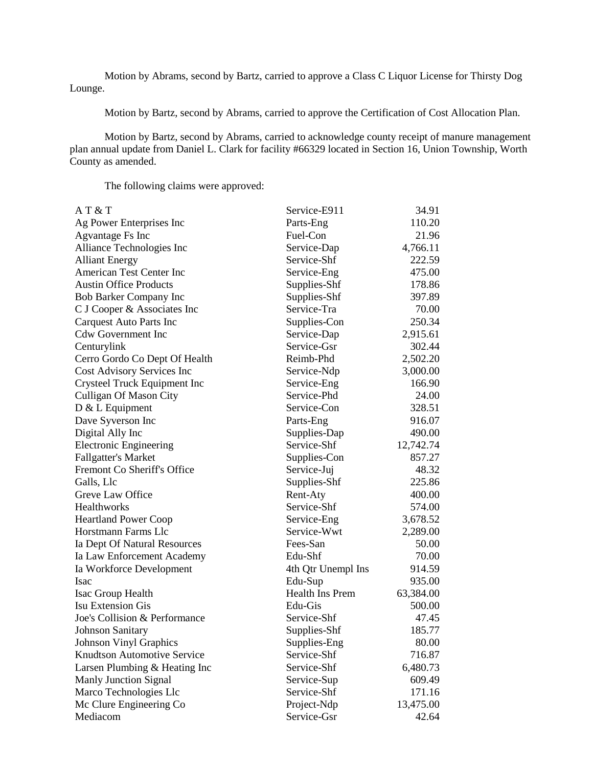Motion by Abrams, second by Bartz, carried to approve a Class C Liquor License for Thirsty Dog Lounge.

Motion by Bartz, second by Abrams, carried to approve the Certification of Cost Allocation Plan.

Motion by Bartz, second by Abrams, carried to acknowledge county receipt of manure management plan annual update from Daniel L. Clark for facility #66329 located in Section 16, Union Township, Worth County as amended.

The following claims were approved:

| AT&T                               | Service-E911       | 34.91     |
|------------------------------------|--------------------|-----------|
| Ag Power Enterprises Inc           | Parts-Eng          | 110.20    |
| Agvantage Fs Inc                   | Fuel-Con           | 21.96     |
| Alliance Technologies Inc          | Service-Dap        | 4,766.11  |
| <b>Alliant Energy</b>              | Service-Shf        | 222.59    |
| American Test Center Inc           | Service-Eng        | 475.00    |
| <b>Austin Office Products</b>      | Supplies-Shf       | 178.86    |
| Bob Barker Company Inc             | Supplies-Shf       | 397.89    |
| C J Cooper & Associates Inc        | Service-Tra        | 70.00     |
| <b>Carquest Auto Parts Inc</b>     | Supplies-Con       | 250.34    |
| <b>Cdw Government Inc</b>          | Service-Dap        | 2,915.61  |
| Centurylink                        | Service-Gsr        | 302.44    |
| Cerro Gordo Co Dept Of Health      | Reimb-Phd          | 2,502.20  |
| Cost Advisory Services Inc         | Service-Ndp        | 3,000.00  |
| Crysteel Truck Equipment Inc       | Service-Eng        | 166.90    |
| <b>Culligan Of Mason City</b>      | Service-Phd        | 24.00     |
| $D & L$ Equipment                  | Service-Con        | 328.51    |
| Dave Syverson Inc                  | Parts-Eng          | 916.07    |
| Digital Ally Inc                   | Supplies-Dap       | 490.00    |
| <b>Electronic Engineering</b>      | Service-Shf        | 12,742.74 |
| <b>Fallgatter's Market</b>         | Supplies-Con       | 857.27    |
| Fremont Co Sheriff's Office        | Service-Juj        | 48.32     |
| Galls, Llc                         | Supplies-Shf       | 225.86    |
| Greve Law Office                   | Rent-Aty           | 400.00    |
| Healthworks                        | Service-Shf        | 574.00    |
| <b>Heartland Power Coop</b>        | Service-Eng        | 3,678.52  |
| Horstmann Farms Llc                | Service-Wwt        | 2,289.00  |
| Ia Dept Of Natural Resources       | Fees-San           | 50.00     |
| Ia Law Enforcement Academy         | Edu-Shf            | 70.00     |
| Ia Workforce Development           | 4th Qtr Unempl Ins | 914.59    |
| Isac                               | Edu-Sup            | 935.00    |
| Isac Group Health                  | Health Ins Prem    | 63,384.00 |
| <b>Isu Extension Gis</b>           | Edu-Gis            | 500.00    |
| Joe's Collision & Performance      | Service-Shf        | 47.45     |
| Johnson Sanitary                   | Supplies-Shf       | 185.77    |
| <b>Johnson Vinyl Graphics</b>      | Supplies-Eng       | 80.00     |
| <b>Knudtson Automotive Service</b> | Service-Shf        | 716.87    |
| Larsen Plumbing & Heating Inc      | Service-Shf        | 6,480.73  |
| <b>Manly Junction Signal</b>       | Service-Sup        | 609.49    |
| Marco Technologies Llc             | Service-Shf        | 171.16    |
| Mc Clure Engineering Co            | Project-Ndp        | 13,475.00 |
| Mediacom                           | Service-Gsr        | 42.64     |